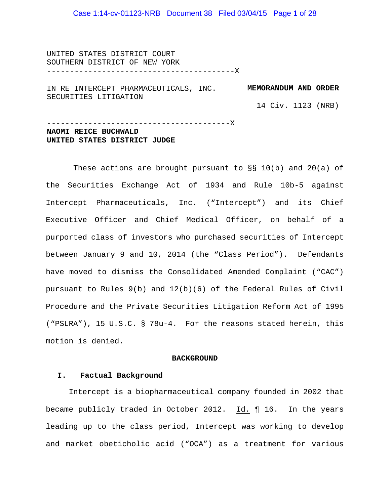### Case 1:14-cv-01123-NRB Document 38 Filed 03/04/15 Page 1 of 28

UNITED STATES DISTRICT COURT SOUTHERN DISTRICT OF NEW YORK -----------------------------------------X

IN RE INTERCEPT PHARMACEUTICALS, INC. **MEMORANDUM AND ORDER**  SECURITIES LITIGATION

14 Civ. 1123 (NRB)

----------------------------------------X **NAOMI REICE BUCHWALD UNITED STATES DISTRICT JUDGE**

These actions are brought pursuant to  $\S$ § 10(b) and 20(a) of the Securities Exchange Act of 1934 and Rule 10b-5 against Intercept Pharmaceuticals, Inc. ("Intercept") and its Chief Executive Officer and Chief Medical Officer, on behalf of a purported class of investors who purchased securities of Intercept between January 9 and 10, 2014 (the "Class Period"). Defendants have moved to dismiss the Consolidated Amended Complaint ("CAC") pursuant to Rules 9(b) and 12(b)(6) of the Federal Rules of Civil Procedure and the Private Securities Litigation Reform Act of 1995 ("PSLRA"), 15 U.S.C. § 78u-4. For the reasons stated herein, this motion is denied.

#### **BACKGROUND**

#### **I. Factual Background**

Intercept is a biopharmaceutical company founded in 2002 that became publicly traded in October 2012. Id. ¶ 16. In the years leading up to the class period, Intercept was working to develop and market obeticholic acid ("OCA") as a treatment for various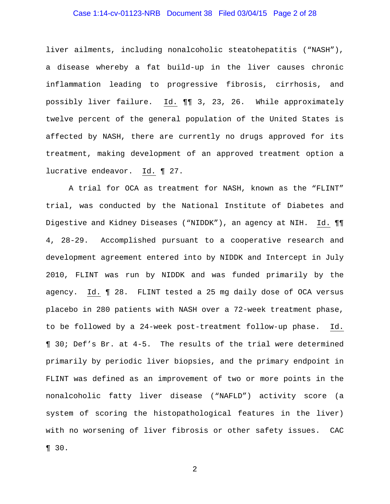### Case 1:14-cv-01123-NRB Document 38 Filed 03/04/15 Page 2 of 28

liver ailments, including nonalcoholic steatohepatitis ("NASH"), a disease whereby a fat build-up in the liver causes chronic inflammation leading to progressive fibrosis, cirrhosis, and possibly liver failure. Id. ¶¶ 3, 23, 26. While approximately twelve percent of the general population of the United States is affected by NASH, there are currently no drugs approved for its treatment, making development of an approved treatment option a lucrative endeavor. Id. ¶ 27.

A trial for OCA as treatment for NASH, known as the "FLINT" trial, was conducted by the National Institute of Diabetes and Digestive and Kidney Diseases ("NIDDK"), an agency at NIH. Id. ¶¶ 4, 28-29. Accomplished pursuant to a cooperative research and development agreement entered into by NIDDK and Intercept in July 2010, FLINT was run by NIDDK and was funded primarily by the agency. Id. ¶ 28. FLINT tested a 25 mg daily dose of OCA versus placebo in 280 patients with NASH over a 72-week treatment phase, to be followed by a 24-week post-treatment follow-up phase. Id. ¶ 30; Def's Br. at 4-5. The results of the trial were determined primarily by periodic liver biopsies, and the primary endpoint in FLINT was defined as an improvement of two or more points in the nonalcoholic fatty liver disease ("NAFLD") activity score (a system of scoring the histopathological features in the liver) with no worsening of liver fibrosis or other safety issues. CAC ¶ 30.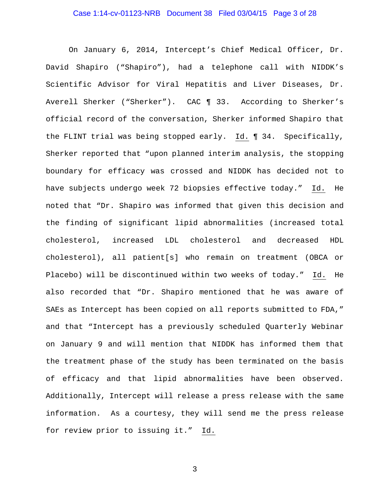### Case 1:14-cv-01123-NRB Document 38 Filed 03/04/15 Page 3 of 28

On January 6, 2014, Intercept's Chief Medical Officer, Dr. David Shapiro ("Shapiro"), had a telephone call with NIDDK's Scientific Advisor for Viral Hepatitis and Liver Diseases, Dr. Averell Sherker ("Sherker"). CAC ¶ 33. According to Sherker's official record of the conversation, Sherker informed Shapiro that the FLINT trial was being stopped early. Id. ¶ 34. Specifically, Sherker reported that "upon planned interim analysis, the stopping boundary for efficacy was crossed and NIDDK has decided not to have subjects undergo week 72 biopsies effective today." Id. He noted that "Dr. Shapiro was informed that given this decision and the finding of significant lipid abnormalities (increased total cholesterol, increased LDL cholesterol and decreased HDL cholesterol), all patient[s] who remain on treatment (OBCA or Placebo) will be discontinued within two weeks of today." Id. He also recorded that "Dr. Shapiro mentioned that he was aware of SAEs as Intercept has been copied on all reports submitted to FDA," and that "Intercept has a previously scheduled Quarterly Webinar on January 9 and will mention that NIDDK has informed them that the treatment phase of the study has been terminated on the basis of efficacy and that lipid abnormalities have been observed. Additionally, Intercept will release a press release with the same information. As a courtesy, they will send me the press release for review prior to issuing it." Id.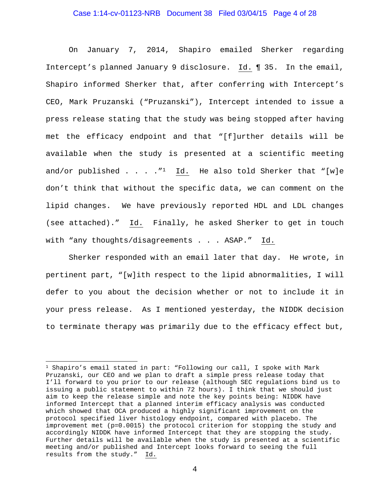### Case 1:14-cv-01123-NRB Document 38 Filed 03/04/15 Page 4 of 28

On January 7, 2014, Shapiro emailed Sherker regarding Intercept's planned January 9 disclosure. Id. ¶ 35. In the email, Shapiro informed Sherker that, after conferring with Intercept's CEO, Mark Pruzanski ("Pruzanski"), Intercept intended to issue a press release stating that the study was being stopped after having met the efficacy endpoint and that "[f]urther details will be available when the study is presented at a scientific meeting and/or published . . . ."1 Id. He also told Sherker that "[w]e don't think that without the specific data, we can comment on the lipid changes. We have previously reported HDL and LDL changes (see attached)." Id. Finally, he asked Sherker to get in touch with "any thoughts/disagreements . . . ASAP." Id.

Sherker responded with an email later that day. He wrote, in pertinent part, "[w]ith respect to the lipid abnormalities, I will defer to you about the decision whether or not to include it in your press release. As I mentioned yesterday, the NIDDK decision to terminate therapy was primarily due to the efficacy effect but,

 $\overline{a}$ 

<sup>1</sup> Shapiro's email stated in part: "Following our call, I spoke with Mark Pruzanski, our CEO and we plan to draft a simple press release today that I'll forward to you prior to our release (although SEC regulations bind us to issuing a public statement to within 72 hours). I think that we should just aim to keep the release simple and note the key points being: NIDDK have informed Intercept that a planned interim efficacy analysis was conducted which showed that OCA produced a highly significant improvement on the protocol specified liver histology endpoint, compared with placebo. The improvement met (p=0.0015) the protocol criterion for stopping the study and accordingly NIDDK have informed Intercept that they are stopping the study. Further details will be available when the study is presented at a scientific meeting and/or published and Intercept looks forward to seeing the full results from the study." Id.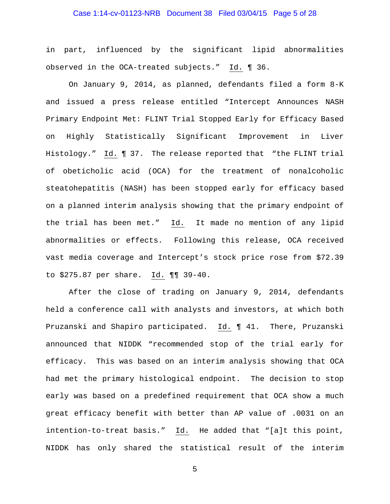### Case 1:14-cv-01123-NRB Document 38 Filed 03/04/15 Page 5 of 28

in part, influenced by the significant lipid abnormalities observed in the OCA-treated subjects." Id. ¶ 36.

On January 9, 2014, as planned, defendants filed a form 8-K and issued a press release entitled "Intercept Announces NASH Primary Endpoint Met: FLINT Trial Stopped Early for Efficacy Based on Highly Statistically Significant Improvement in Liver Histology." Id. ¶ 37. The release reported that "the FLINT trial of obeticholic acid (OCA) for the treatment of nonalcoholic steatohepatitis (NASH) has been stopped early for efficacy based on a planned interim analysis showing that the primary endpoint of the trial has been met." Id. It made no mention of any lipid abnormalities or effects. Following this release, OCA received vast media coverage and Intercept's stock price rose from \$72.39 to \$275.87 per share. Id. ¶¶ 39-40.

After the close of trading on January 9, 2014, defendants held a conference call with analysts and investors, at which both Pruzanski and Shapiro participated. Id. ¶ 41. There, Pruzanski announced that NIDDK "recommended stop of the trial early for efficacy. This was based on an interim analysis showing that OCA had met the primary histological endpoint. The decision to stop early was based on a predefined requirement that OCA show a much great efficacy benefit with better than AP value of .0031 on an intention-to-treat basis." Id. He added that "[a]t this point, NIDDK has only shared the statistical result of the interim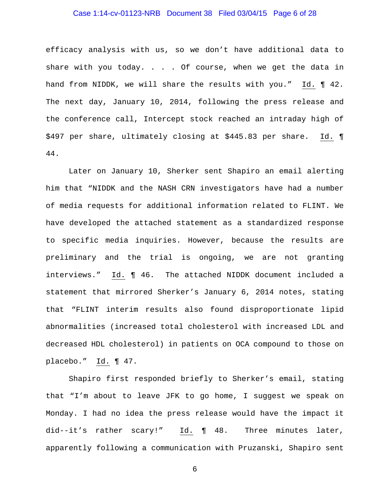### Case 1:14-cv-01123-NRB Document 38 Filed 03/04/15 Page 6 of 28

efficacy analysis with us, so we don't have additional data to share with you today. . . . Of course, when we get the data in hand from NIDDK, we will share the results with you." Id. 1 42. The next day, January 10, 2014, following the press release and the conference call, Intercept stock reached an intraday high of \$497 per share, ultimately closing at \$445.83 per share. Id. ¶ 44.

Later on January 10, Sherker sent Shapiro an email alerting him that "NIDDK and the NASH CRN investigators have had a number of media requests for additional information related to FLINT. We have developed the attached statement as a standardized response to specific media inquiries. However, because the results are preliminary and the trial is ongoing, we are not granting interviews." Id. ¶ 46. The attached NIDDK document included a statement that mirrored Sherker's January 6, 2014 notes, stating that "FLINT interim results also found disproportionate lipid abnormalities (increased total cholesterol with increased LDL and decreased HDL cholesterol) in patients on OCA compound to those on placebo." Id. ¶ 47.

Shapiro first responded briefly to Sherker's email, stating that "I'm about to leave JFK to go home, I suggest we speak on Monday. I had no idea the press release would have the impact it did--it's rather scary!" Id. ¶ 48. Three minutes later, apparently following a communication with Pruzanski, Shapiro sent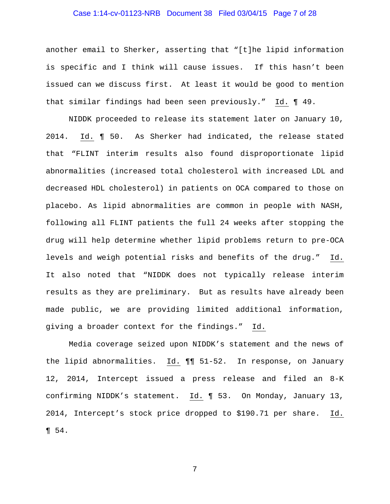### Case 1:14-cv-01123-NRB Document 38 Filed 03/04/15 Page 7 of 28

another email to Sherker, asserting that "[t]he lipid information is specific and I think will cause issues. If this hasn't been issued can we discuss first. At least it would be good to mention that similar findings had been seen previously." Id. ¶ 49.

NIDDK proceeded to release its statement later on January 10, 2014. Id. ¶ 50. As Sherker had indicated, the release stated that "FLINT interim results also found disproportionate lipid abnormalities (increased total cholesterol with increased LDL and decreased HDL cholesterol) in patients on OCA compared to those on placebo. As lipid abnormalities are common in people with NASH, following all FLINT patients the full 24 weeks after stopping the drug will help determine whether lipid problems return to pre-OCA levels and weigh potential risks and benefits of the drug." Id. It also noted that "NIDDK does not typically release interim results as they are preliminary. But as results have already been made public, we are providing limited additional information, giving a broader context for the findings." Id.

Media coverage seized upon NIDDK's statement and the news of the lipid abnormalities. Id. ¶¶ 51-52. In response, on January 12, 2014, Intercept issued a press release and filed an 8-K confirming NIDDK's statement. Id. ¶ 53. On Monday, January 13, 2014, Intercept's stock price dropped to \$190.71 per share. Id. ¶ 54.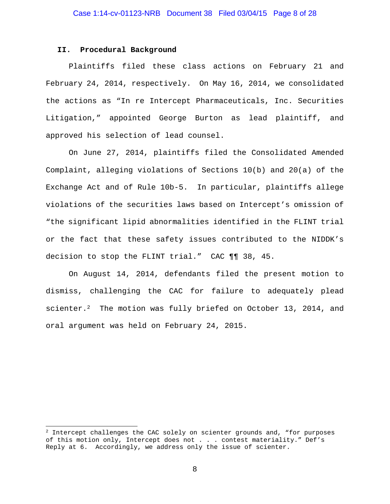#### **II. Procedural Background**

 $\overline{a}$ 

Plaintiffs filed these class actions on February 21 and February 24, 2014, respectively. On May 16, 2014, we consolidated the actions as "In re Intercept Pharmaceuticals, Inc. Securities Litigation," appointed George Burton as lead plaintiff, and approved his selection of lead counsel.

On June 27, 2014, plaintiffs filed the Consolidated Amended Complaint, alleging violations of Sections 10(b) and 20(a) of the Exchange Act and of Rule 10b-5. In particular, plaintiffs allege violations of the securities laws based on Intercept's omission of "the significant lipid abnormalities identified in the FLINT trial or the fact that these safety issues contributed to the NIDDK's decision to stop the FLINT trial." CAC ¶¶ 38, 45.

On August 14, 2014, defendants filed the present motion to dismiss, challenging the CAC for failure to adequately plead scienter.<sup>2</sup> The motion was fully briefed on October 13, 2014, and oral argument was held on February 24, 2015.

 $2$  Intercept challenges the CAC solely on scienter grounds and, "for purposes of this motion only, Intercept does not . . . contest materiality." Def's Reply at 6. Accordingly, we address only the issue of scienter.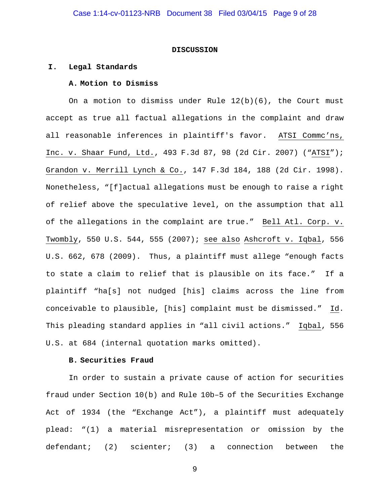#### **DISCUSSION**

#### **I. Legal Standards**

#### **A. Motion to Dismiss**

On a motion to dismiss under Rule 12(b)(6), the Court must accept as true all factual allegations in the complaint and draw all reasonable inferences in plaintiff's favor. ATSI Commc'ns, Inc. v. Shaar Fund, Ltd., 493 F.3d 87, 98 (2d Cir. 2007) ("ATSI"); Grandon v. Merrill Lynch & Co., 147 F.3d 184, 188 (2d Cir. 1998). Nonetheless, "[f]actual allegations must be enough to raise a right of relief above the speculative level, on the assumption that all of the allegations in the complaint are true." Bell Atl. Corp. v. Twombly, 550 U.S. 544, 555 (2007); see also Ashcroft v. Iqbal, 556 U.S. 662, 678 (2009). Thus, a plaintiff must allege "enough facts to state a claim to relief that is plausible on its face." If a plaintiff "ha[s] not nudged [his] claims across the line from conceivable to plausible, [his] complaint must be dismissed." Id. This pleading standard applies in "all civil actions." Iqbal, 556 U.S. at 684 (internal quotation marks omitted).

### **B. Securities Fraud**

In order to sustain a private cause of action for securities fraud under Section 10(b) and Rule 10b–5 of the Securities Exchange Act of 1934 (the "Exchange Act"), a plaintiff must adequately plead: "(1) a material misrepresentation or omission by the defendant; (2) scienter; (3) a connection between the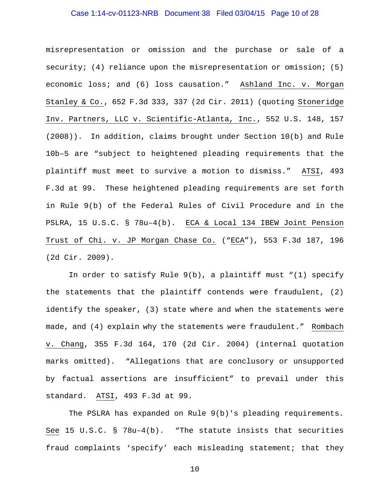### Case 1:14-cv-01123-NRB Document 38 Filed 03/04/15 Page 10 of 28

misrepresentation or omission and the purchase or sale of a security; (4) reliance upon the misrepresentation or omission; (5) economic loss; and (6) loss causation." Ashland Inc. v. Morgan Stanley & Co., 652 F.3d 333, 337 (2d Cir. 2011) (quoting Stoneridge Inv. Partners, LLC v. Scientific-Atlanta, Inc., 552 U.S. 148, 157 (2008)). In addition, claims brought under Section 10(b) and Rule 10b–5 are "subject to heightened pleading requirements that the plaintiff must meet to survive a motion to dismiss." ATSI, 493 F.3d at 99. These heightened pleading requirements are set forth in Rule 9(b) of the Federal Rules of Civil Procedure and in the PSLRA, 15 U.S.C. § 78u–4(b). ECA & Local 134 IBEW Joint Pension Trust of Chi. v. JP Morgan Chase Co. ("ECA"), 553 F.3d 187, 196 (2d Cir. 2009).

In order to satisfy Rule 9(b), a plaintiff must "(1) specify the statements that the plaintiff contends were fraudulent, (2) identify the speaker, (3) state where and when the statements were made, and (4) explain why the statements were fraudulent." Rombach v. Chang, 355 F.3d 164, 170 (2d Cir. 2004) (internal quotation marks omitted). "Allegations that are conclusory or unsupported by factual assertions are insufficient" to prevail under this standard. ATSI, 493 F.3d at 99.

The PSLRA has expanded on Rule 9(b)'s pleading requirements. See 15 U.S.C. § 78u–4(b). "The statute insists that securities fraud complaints 'specify' each misleading statement; that they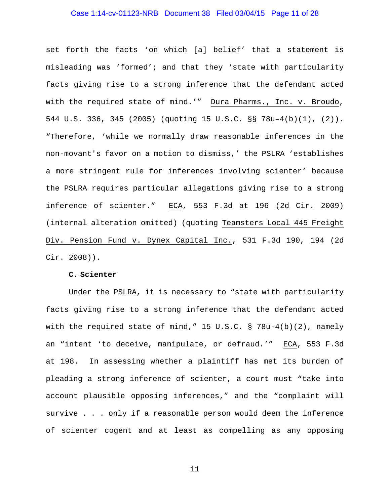### Case 1:14-cv-01123-NRB Document 38 Filed 03/04/15 Page 11 of 28

set forth the facts 'on which [a] belief' that a statement is misleading was 'formed'; and that they 'state with particularity facts giving rise to a strong inference that the defendant acted with the required state of mind.'" Dura Pharms., Inc. v. Broudo, 544 U.S. 336, 345 (2005) (quoting 15 U.S.C. §§ 78u–4(b)(1), (2)). "Therefore, 'while we normally draw reasonable inferences in the non-movant's favor on a motion to dismiss,' the PSLRA 'establishes a more stringent rule for inferences involving scienter' because the PSLRA requires particular allegations giving rise to a strong inference of scienter." ECA, 553 F.3d at 196 (2d Cir. 2009) (internal alteration omitted) (quoting Teamsters Local 445 Freight Div. Pension Fund v. Dynex Capital Inc., 531 F.3d 190, 194 (2d Cir. 2008)).

#### **C. Scienter**

Under the PSLRA, it is necessary to "state with particularity facts giving rise to a strong inference that the defendant acted with the required state of mind," 15 U.S.C. § 78u-4(b)(2), namely an "intent 'to deceive, manipulate, or defraud.'" ECA, 553 F.3d at 198. In assessing whether a plaintiff has met its burden of pleading a strong inference of scienter, a court must "take into account plausible opposing inferences," and the "complaint will survive . . . only if a reasonable person would deem the inference of scienter cogent and at least as compelling as any opposing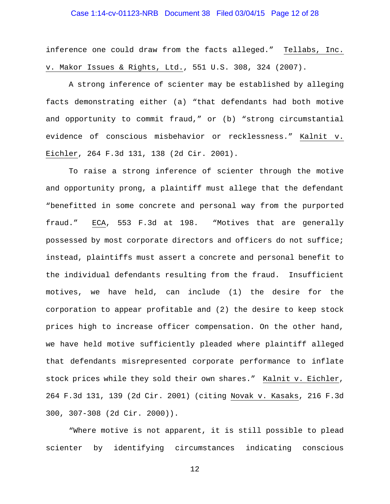### Case 1:14-cv-01123-NRB Document 38 Filed 03/04/15 Page 12 of 28

inference one could draw from the facts alleged." Tellabs, Inc. v. Makor Issues & Rights, Ltd., 551 U.S. 308, 324 (2007).

A strong inference of scienter may be established by alleging facts demonstrating either (a) "that defendants had both motive and opportunity to commit fraud," or (b) "strong circumstantial evidence of conscious misbehavior or recklessness." Kalnit v. Eichler, 264 F.3d 131, 138 (2d Cir. 2001).

To raise a strong inference of scienter through the motive and opportunity prong, a plaintiff must allege that the defendant "benefitted in some concrete and personal way from the purported fraud." ECA, 553 F.3d at 198. "Motives that are generally possessed by most corporate directors and officers do not suffice; instead, plaintiffs must assert a concrete and personal benefit to the individual defendants resulting from the fraud. Insufficient motives, we have held, can include (1) the desire for the corporation to appear profitable and (2) the desire to keep stock prices high to increase officer compensation. On the other hand, we have held motive sufficiently pleaded where plaintiff alleged that defendants misrepresented corporate performance to inflate stock prices while they sold their own shares." Kalnit v. Eichler, 264 F.3d 131, 139 (2d Cir. 2001) (citing Novak v. Kasaks, 216 F.3d 300, 307-308 (2d Cir. 2000)).

"Where motive is not apparent, it is still possible to plead scienter by identifying circumstances indicating conscious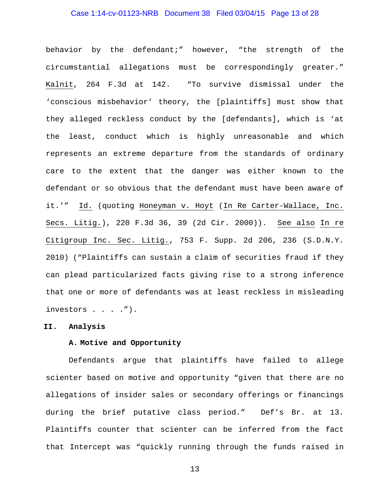### Case 1:14-cv-01123-NRB Document 38 Filed 03/04/15 Page 13 of 28

behavior by the defendant;" however, "the strength of the circumstantial allegations must be correspondingly greater." Kalnit, 264 F.3d at 142. "To survive dismissal under the 'conscious misbehavior' theory, the [plaintiffs] must show that they alleged reckless conduct by the [defendants], which is 'at the least, conduct which is highly unreasonable and which represents an extreme departure from the standards of ordinary care to the extent that the danger was either known to the defendant or so obvious that the defendant must have been aware of it.'" Id. (quoting Honeyman v. Hoyt (In Re Carter-Wallace, Inc. Secs. Litig.), 220 F.3d 36, 39 (2d Cir. 2000)). See also In re Citigroup Inc. Sec. Litig., 753 F. Supp. 2d 206, 236 (S.D.N.Y. 2010) ("Plaintiffs can sustain a claim of securities fraud if they can plead particularized facts giving rise to a strong inference that one or more of defendants was at least reckless in misleading investors . . . .").

#### **II. Analysis**

## **A. Motive and Opportunity**

Defendants argue that plaintiffs have failed to allege scienter based on motive and opportunity "given that there are no allegations of insider sales or secondary offerings or financings during the brief putative class period." Def's Br. at 13. Plaintiffs counter that scienter can be inferred from the fact that Intercept was "quickly running through the funds raised in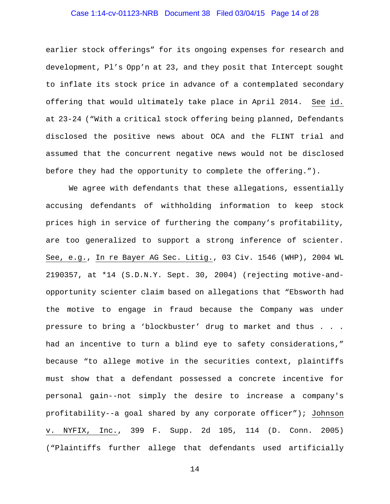### Case 1:14-cv-01123-NRB Document 38 Filed 03/04/15 Page 14 of 28

earlier stock offerings" for its ongoing expenses for research and development, Pl's Opp'n at 23, and they posit that Intercept sought to inflate its stock price in advance of a contemplated secondary offering that would ultimately take place in April 2014. See id. at 23-24 ("With a critical stock offering being planned, Defendants disclosed the positive news about OCA and the FLINT trial and assumed that the concurrent negative news would not be disclosed before they had the opportunity to complete the offering.").

We agree with defendants that these allegations, essentially accusing defendants of withholding information to keep stock prices high in service of furthering the company's profitability, are too generalized to support a strong inference of scienter. See, e.g., In re Bayer AG Sec. Litig., 03 Civ. 1546 (WHP), 2004 WL 2190357, at \*14 (S.D.N.Y. Sept. 30, 2004) (rejecting motive-andopportunity scienter claim based on allegations that "Ebsworth had the motive to engage in fraud because the Company was under pressure to bring a 'blockbuster' drug to market and thus . . . had an incentive to turn a blind eye to safety considerations," because "to allege motive in the securities context, plaintiffs must show that a defendant possessed a concrete incentive for personal gain--not simply the desire to increase a company's profitability--a goal shared by any corporate officer"); Johnson v. NYFIX, Inc., 399 F. Supp. 2d 105, 114 (D. Conn. 2005) ("Plaintiffs further allege that defendants used artificially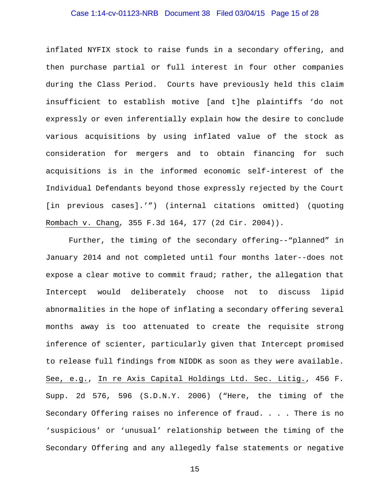### Case 1:14-cv-01123-NRB Document 38 Filed 03/04/15 Page 15 of 28

inflated NYFIX stock to raise funds in a secondary offering, and then purchase partial or full interest in four other companies during the Class Period. Courts have previously held this claim insufficient to establish motive [and t]he plaintiffs 'do not expressly or even inferentially explain how the desire to conclude various acquisitions by using inflated value of the stock as consideration for mergers and to obtain financing for such acquisitions is in the informed economic self-interest of the Individual Defendants beyond those expressly rejected by the Court [in previous cases].'") (internal citations omitted) (quoting Rombach v. Chang*,* 355 F.3d 164, 177 (2d Cir. 2004)).

Further, the timing of the secondary offering--"planned" in January 2014 and not completed until four months later--does not expose a clear motive to commit fraud; rather, the allegation that Intercept would deliberately choose not to discuss lipid abnormalities in the hope of inflating a secondary offering several months away is too attenuated to create the requisite strong inference of scienter, particularly given that Intercept promised to release full findings from NIDDK as soon as they were available. See, e.g., In re Axis Capital Holdings Ltd. Sec. Litig., 456 F. Supp. 2d 576, 596 (S.D.N.Y. 2006) ("Here, the timing of the Secondary Offering raises no inference of fraud. . . . There is no 'suspicious' or 'unusual' relationship between the timing of the Secondary Offering and any allegedly false statements or negative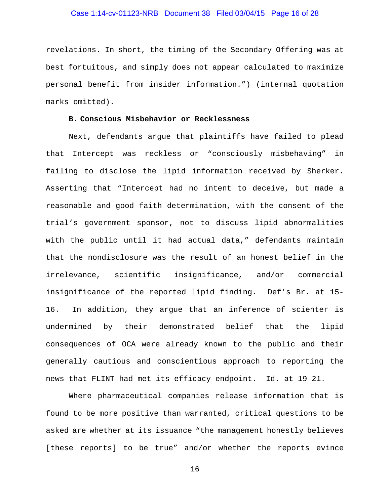### Case 1:14-cv-01123-NRB Document 38 Filed 03/04/15 Page 16 of 28

revelations. In short, the timing of the Secondary Offering was at best fortuitous, and simply does not appear calculated to maximize personal benefit from insider information.") (internal quotation marks omitted).

#### **B. Conscious Misbehavior or Recklessness**

Next, defendants argue that plaintiffs have failed to plead that Intercept was reckless or "consciously misbehaving" in failing to disclose the lipid information received by Sherker. Asserting that "Intercept had no intent to deceive, but made a reasonable and good faith determination, with the consent of the trial's government sponsor, not to discuss lipid abnormalities with the public until it had actual data," defendants maintain that the nondisclosure was the result of an honest belief in the irrelevance, scientific insignificance, and/or commercial insignificance of the reported lipid finding. Def's Br. at 15- 16. In addition, they argue that an inference of scienter is undermined by their demonstrated belief that the lipid consequences of OCA were already known to the public and their generally cautious and conscientious approach to reporting the news that FLINT had met its efficacy endpoint. Id. at 19-21.

Where pharmaceutical companies release information that is found to be more positive than warranted, critical questions to be asked are whether at its issuance "the management honestly believes [these reports] to be true" and/or whether the reports evince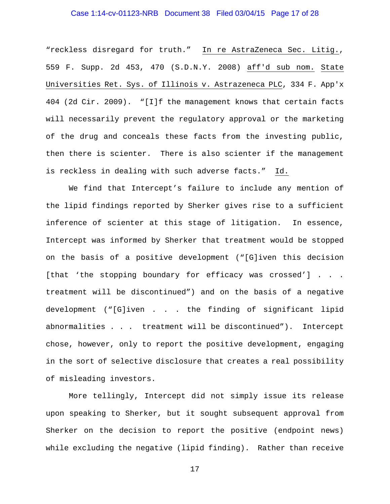### Case 1:14-cv-01123-NRB Document 38 Filed 03/04/15 Page 17 of 28

"reckless disregard for truth." In re AstraZeneca Sec. Litig., 559 F. Supp. 2d 453, 470 (S.D.N.Y. 2008) aff'd sub nom. State Universities Ret. Sys. of Illinois v. Astrazeneca PLC, 334 F. App'x 404 (2d Cir. 2009). "[I]f the management knows that certain facts will necessarily prevent the regulatory approval or the marketing of the drug and conceals these facts from the investing public, then there is scienter. There is also scienter if the management is reckless in dealing with such adverse facts." Id.

We find that Intercept's failure to include any mention of the lipid findings reported by Sherker gives rise to a sufficient inference of scienter at this stage of litigation. In essence, Intercept was informed by Sherker that treatment would be stopped on the basis of a positive development ("[G]iven this decision [that 'the stopping boundary for efficacy was crossed'] . . . treatment will be discontinued") and on the basis of a negative development ("[G]iven . . . the finding of significant lipid abnormalities . . . treatment will be discontinued"). Intercept chose, however, only to report the positive development, engaging in the sort of selective disclosure that creates a real possibility of misleading investors.

More tellingly, Intercept did not simply issue its release upon speaking to Sherker, but it sought subsequent approval from Sherker on the decision to report the positive (endpoint news) while excluding the negative (lipid finding). Rather than receive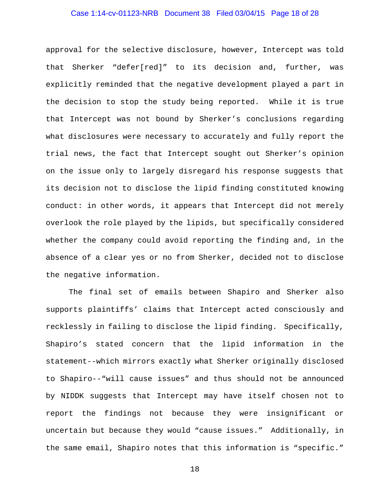### Case 1:14-cv-01123-NRB Document 38 Filed 03/04/15 Page 18 of 28

approval for the selective disclosure, however, Intercept was told that Sherker "defer[red]" to its decision and, further, was explicitly reminded that the negative development played a part in the decision to stop the study being reported. While it is true that Intercept was not bound by Sherker's conclusions regarding what disclosures were necessary to accurately and fully report the trial news, the fact that Intercept sought out Sherker's opinion on the issue only to largely disregard his response suggests that its decision not to disclose the lipid finding constituted knowing conduct: in other words, it appears that Intercept did not merely overlook the role played by the lipids, but specifically considered whether the company could avoid reporting the finding and, in the absence of a clear yes or no from Sherker, decided not to disclose the negative information.

The final set of emails between Shapiro and Sherker also supports plaintiffs' claims that Intercept acted consciously and recklessly in failing to disclose the lipid finding. Specifically, Shapiro's stated concern that the lipid information in the statement--which mirrors exactly what Sherker originally disclosed to Shapiro--"will cause issues" and thus should not be announced by NIDDK suggests that Intercept may have itself chosen not to report the findings not because they were insignificant or uncertain but because they would "cause issues." Additionally, in the same email, Shapiro notes that this information is "specific."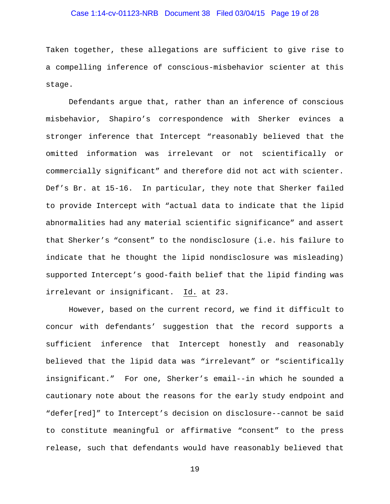### Case 1:14-cv-01123-NRB Document 38 Filed 03/04/15 Page 19 of 28

Taken together, these allegations are sufficient to give rise to a compelling inference of conscious-misbehavior scienter at this stage.

Defendants argue that, rather than an inference of conscious misbehavior, Shapiro's correspondence with Sherker evinces a stronger inference that Intercept "reasonably believed that the omitted information was irrelevant or not scientifically or commercially significant" and therefore did not act with scienter. Def's Br. at 15-16. In particular, they note that Sherker failed to provide Intercept with "actual data to indicate that the lipid abnormalities had any material scientific significance" and assert that Sherker's "consent" to the nondisclosure (i.e. his failure to indicate that he thought the lipid nondisclosure was misleading) supported Intercept's good-faith belief that the lipid finding was irrelevant or insignificant. Id. at 23.

However, based on the current record, we find it difficult to concur with defendants' suggestion that the record supports a sufficient inference that Intercept honestly and reasonably believed that the lipid data was "irrelevant" or "scientifically insignificant." For one, Sherker's email--in which he sounded a cautionary note about the reasons for the early study endpoint and "defer[red]" to Intercept's decision on disclosure--cannot be said to constitute meaningful or affirmative "consent" to the press release, such that defendants would have reasonably believed that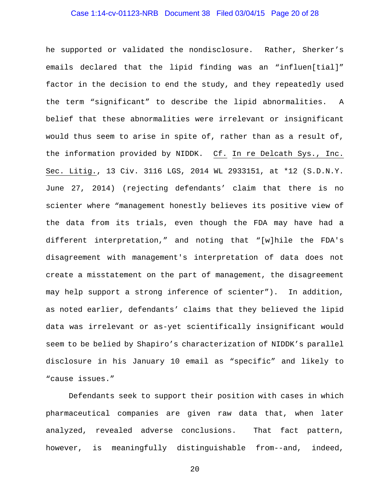### Case 1:14-cv-01123-NRB Document 38 Filed 03/04/15 Page 20 of 28

he supported or validated the nondisclosure. Rather, Sherker's emails declared that the lipid finding was an "influen[tial]" factor in the decision to end the study, and they repeatedly used the term "significant" to describe the lipid abnormalities. A belief that these abnormalities were irrelevant or insignificant would thus seem to arise in spite of, rather than as a result of, the information provided by NIDDK. Cf. In re Delcath Sys., Inc. Sec. Litig., 13 Civ. 3116 LGS, 2014 WL 2933151, at \*12 (S.D.N.Y. June 27, 2014) (rejecting defendants' claim that there is no scienter where "management honestly believes its positive view of the data from its trials, even though the FDA may have had a different interpretation," and noting that "[w]hile the FDA's disagreement with management's interpretation of data does not create a misstatement on the part of management, the disagreement may help support a strong inference of scienter"). In addition, as noted earlier, defendants' claims that they believed the lipid data was irrelevant or as-yet scientifically insignificant would seem to be belied by Shapiro's characterization of NIDDK's parallel disclosure in his January 10 email as "specific" and likely to "cause issues."

Defendants seek to support their position with cases in which pharmaceutical companies are given raw data that, when later analyzed, revealed adverse conclusions. That fact pattern, however, is meaningfully distinguishable from--and, indeed,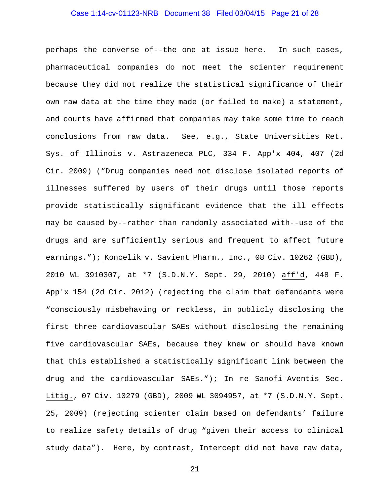### Case 1:14-cv-01123-NRB Document 38 Filed 03/04/15 Page 21 of 28

perhaps the converse of--the one at issue here. In such cases, pharmaceutical companies do not meet the scienter requirement because they did not realize the statistical significance of their own raw data at the time they made (or failed to make) a statement, and courts have affirmed that companies may take some time to reach conclusions from raw data. See, e.g., State Universities Ret. Sys. of Illinois v. Astrazeneca PLC, 334 F. App'x 404, 407 (2d Cir. 2009) ("Drug companies need not disclose isolated reports of illnesses suffered by users of their drugs until those reports provide statistically significant evidence that the ill effects may be caused by--rather than randomly associated with--use of the drugs and are sufficiently serious and frequent to affect future earnings."); Koncelik v. Savient Pharm., Inc., 08 Civ. 10262 (GBD), 2010 WL 3910307, at \*7 (S.D.N.Y. Sept. 29, 2010) aff'd, 448 F. App'x 154 (2d Cir. 2012) (rejecting the claim that defendants were "consciously misbehaving or reckless, in publicly disclosing the first three cardiovascular SAEs without disclosing the remaining five cardiovascular SAEs, because they knew or should have known that this established a statistically significant link between the drug and the cardiovascular SAEs."); In re Sanofi-Aventis Sec. Litig., 07 Civ. 10279 (GBD), 2009 WL 3094957, at \*7 (S.D.N.Y. Sept. 25, 2009) (rejecting scienter claim based on defendants' failure to realize safety details of drug "given their access to clinical study data"). Here, by contrast, Intercept did not have raw data,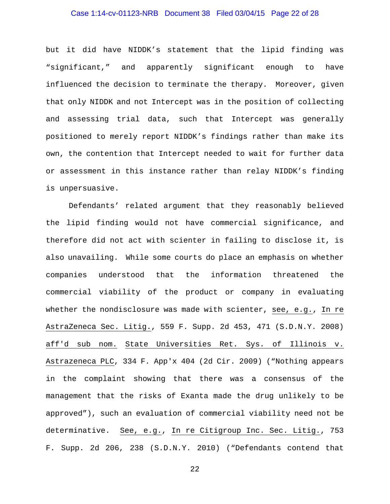### Case 1:14-cv-01123-NRB Document 38 Filed 03/04/15 Page 22 of 28

but it did have NIDDK's statement that the lipid finding was "significant," and apparently significant enough to have influenced the decision to terminate the therapy. Moreover, given that only NIDDK and not Intercept was in the position of collecting and assessing trial data, such that Intercept was generally positioned to merely report NIDDK's findings rather than make its own, the contention that Intercept needed to wait for further data or assessment in this instance rather than relay NIDDK's finding is unpersuasive.

Defendants' related argument that they reasonably believed the lipid finding would not have commercial significance, and therefore did not act with scienter in failing to disclose it, is also unavailing. While some courts do place an emphasis on whether companies understood that the information threatened the commercial viability of the product or company in evaluating whether the nondisclosure was made with scienter, see, e.g., In re AstraZeneca Sec. Litig., 559 F. Supp. 2d 453, 471 (S.D.N.Y. 2008) aff'd sub nom. State Universities Ret. Sys. of Illinois v. Astrazeneca PLC, 334 F. App'x 404 (2d Cir. 2009) ("Nothing appears in the complaint showing that there was a consensus of the management that the risks of Exanta made the drug unlikely to be approved"), such an evaluation of commercial viability need not be determinative. See, e.g., In re Citigroup Inc. Sec. Litig., 753 F. Supp. 2d 206, 238 (S.D.N.Y. 2010) ("Defendants contend that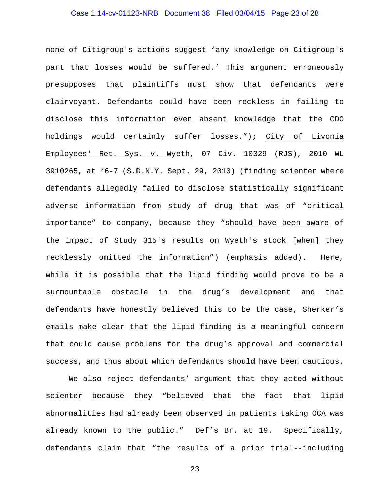# Case 1:14-cv-01123-NRB Document 38 Filed 03/04/15 Page 23 of 28

none of Citigroup's actions suggest 'any knowledge on Citigroup's part that losses would be suffered.' This argument erroneously presupposes that plaintiffs must show that defendants were clairvoyant. Defendants could have been reckless in failing to disclose this information even absent knowledge that the CDO holdings would certainly suffer losses."); City of Livonia Employees' Ret. Sys. v. Wyeth, 07 Civ. 10329 (RJS), 2010 WL  $3910265$ , at  $*6-7$  (S.D.N.Y. Sept. 29, 2010) (finding scienter where defendants allegedly failed to disclose statistically significant adverse information from study of drug that was of "critical importance" to company, because they "should have been aware of the impact of Study 315's results on Wyeth's stock [when] they recklessly omitted the information") (emphasis added). Here, while it is possible that the lipid finding would prove to be a surmountable obstacle in the drug's development and that defendants have honestly believed this to be the case, Sherker's emails make clear that the lipid finding is a meaningful concern that could cause problems for the drug's approval and commercial success, and thus about which defendants should have been cautious.

We also reject defendants' argument that they acted without scienter because they "believed that the fact that lipid abnormalities had already been observed in patients taking OCA was already known to the public." Def's Br. at 19. Specifically, defendants claim that "the results of a prior trial--including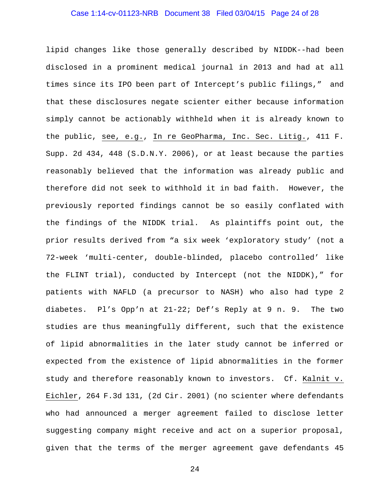### Case 1:14-cv-01123-NRB Document 38 Filed 03/04/15 Page 24 of 28

lipid changes like those generally described by NIDDK--had been disclosed in a prominent medical journal in 2013 and had at all times since its IPO been part of Intercept's public filings," and that these disclosures negate scienter either because information simply cannot be actionably withheld when it is already known to the public, see, e.g., In re GeoPharma, Inc. Sec. Litig., 411 F. Supp. 2d 434, 448 (S.D.N.Y. 2006), or at least because the parties reasonably believed that the information was already public and therefore did not seek to withhold it in bad faith. However, the previously reported findings cannot be so easily conflated with the findings of the NIDDK trial. As plaintiffs point out, the prior results derived from "a six week 'exploratory study' (not a 72-week 'multi-center, double-blinded, placebo controlled' like the FLINT trial), conducted by Intercept (not the NIDDK)," for patients with NAFLD (a precursor to NASH) who also had type 2 diabetes. Pl's Opp'n at 21-22; Def's Reply at 9 n. 9. The two studies are thus meaningfully different, such that the existence of lipid abnormalities in the later study cannot be inferred or expected from the existence of lipid abnormalities in the former study and therefore reasonably known to investors. Cf. Kalnit v. Eichler, 264 F.3d 131, (2d Cir. 2001) (no scienter where defendants who had announced a merger agreement failed to disclose letter suggesting company might receive and act on a superior proposal, given that the terms of the merger agreement gave defendants 45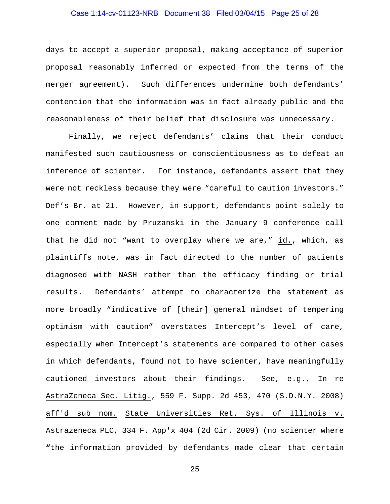### Case 1:14-cv-01123-NRB Document 38 Filed 03/04/15 Page 25 of 28

days to accept a superior proposal, making acceptance of superior proposal reasonably inferred or expected from the terms of the merger agreement). Such differences undermine both defendants' contention that the information was in fact already public and the reasonableness of their belief that disclosure was unnecessary.

Finally, we reject defendants' claims that their conduct manifested such cautiousness or conscientiousness as to defeat an inference of scienter. For instance, defendants assert that they were not reckless because they were "careful to caution investors." Def's Br. at 21. However, in support, defendants point solely to one comment made by Pruzanski in the January 9 conference call that he did not "want to overplay where we are," id., which, as plaintiffs note, was in fact directed to the number of patients diagnosed with NASH rather than the efficacy finding or trial results. Defendants' attempt to characterize the statement as more broadly "indicative of [their] general mindset of tempering optimism with caution" overstates Intercept's level of care, especially when Intercept's statements are compared to other cases in which defendants, found not to have scienter, have meaningfully cautioned investors about their findings. See, e.g., In re AstraZeneca Sec. Litig., 559 F. Supp. 2d 453, 470 (S.D.N.Y. 2008) aff'd sub nom. State Universities Ret. Sys. of Illinois v. Astrazeneca PLC, 334 F. App'x 404 (2d Cir. 2009) (no scienter where **"**the information provided by defendants made clear that certain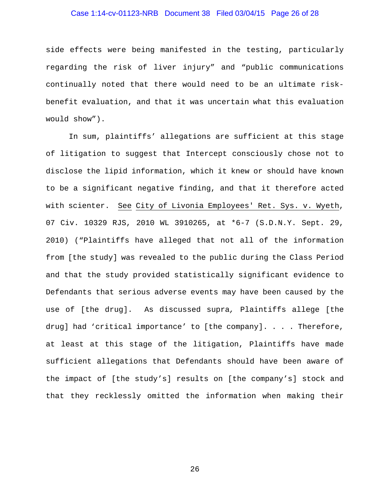### Case 1:14-cv-01123-NRB Document 38 Filed 03/04/15 Page 26 of 28

side effects were being manifested in the testing, particularly regarding the risk of liver injury" and "public communications continually noted that there would need to be an ultimate riskbenefit evaluation, and that it was uncertain what this evaluation would show").

In sum, plaintiffs' allegations are sufficient at this stage of litigation to suggest that Intercept consciously chose not to disclose the lipid information, which it knew or should have known to be a significant negative finding, and that it therefore acted with scienter. See City of Livonia Employees' Ret. Sys. v. Wyeth, 07 Civ. 10329 RJS, 2010 WL 3910265, at \*6-7 (S.D.N.Y. Sept. 29, 2010) ("Plaintiffs have alleged that not all of the information from [the study] was revealed to the public during the Class Period and that the study provided statistically significant evidence to Defendants that serious adverse events may have been caused by the use of [the drug]. As discussed supra*,* Plaintiffs allege [the drug] had 'critical importance' to [the company]. . . . Therefore, at least at this stage of the litigation, Plaintiffs have made sufficient allegations that Defendants should have been aware of the impact of [the study's] results on [the company's] stock and that they recklessly omitted the information when making their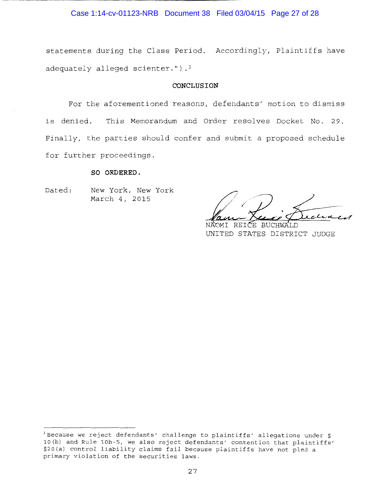### Case 1:14-cv-01123-NRB Document 38 Filed 03/04/15 Page 27 of 28

statements during the Class Period. Accordingly, Plaintiffs have adequately alleged scienter."). $3$ 

#### **CONCLUSION**

For the aforementioned reasons, defendants' motion to dismiss is denied. This Memorandum and Order resolves Docket No. 29. Finally, the parties should confer and submit a proposed schedule for further proceedings.

#### **SO ORDERED.**

Dated: New York, New York March 4, 2015

NÀOMI REICE BUCHWALD<br>UNITED STATES DISTRICT JUDGE

<sup>3</sup> Because we reject defendants' challenge to plaintiffs' allegations under § lO(b) and Rule lOb-5, we also reject defendants' contention that plaintiffs' §20(a) control liability claims fail because plaintiffs have not pled a primary violation of the securities laws.